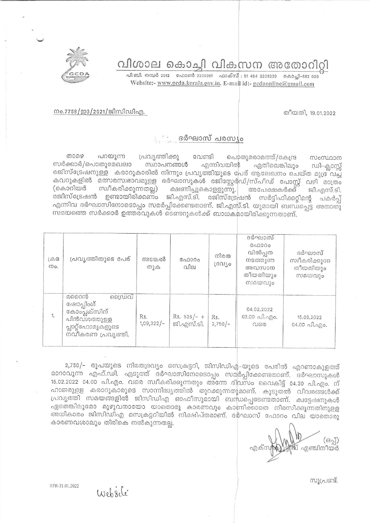വിശാല കൊച്ചി വികസന അതോറിറ്റി

പി.ബി. നമ്പർ 2012 - ഫോൺ 2205061 - ഫാക്സ് : 91 484 2206230 കൊച്ചി-682 020 Website:- www.gcda.kerala.gov.in. E-mail id:- gcdaonline@gmail.com



തീയതി, 19.01,2022

നം.7758/ഇ3/2021/ജിസിഡിഎ.

## ദർഘാസ് പരസ്യം

തായെ പറയുന്ന പ്രവൃത്തിക്കു വേണ്ടി പൊതുമരാമത്ത്/കേന്ദ്ര സംസ്ഥാന സർക്കാർ/പൊതുമേഖലാ സ്ഥാപനങ്ങൾ എന്നിവയിൽ ഏതിലെങ്കിലും ഡി-ക്ലാസ്സ് രജിസ്ട്രേഷനുള്ള കരാറുകാരിൽ നിന്നും പ്രവൃത്തിയുടെ പേര് ആലേഖനം ചെയ്ത മുദ്ര വച്ച കവറുകളിൽ മത്സരസ്വഭാവമുളള ദർഘാസുകൾ രജിസ്റ്റേർഡ്/സ്പീഡ് പോസ്റ്റ് വഴി മാത്രം സ്വീകരിക്കുന്നതല്ല) (കൊറിയർ ക്ഷണിച്ചുകൊളളുന്നു. അപേക്ഷകർക്ക് ജി.എസ്.ടി. രജിസ്ട്രേഷൻ ഉണ്ടായിരിക്കണ്ം ജി.എസ്.ടി. രജിസ്ട്രേഷൻ സർട്ടിഫിക്കറ്റിന്റെ പകർപ്പ് എന്നിവ ദർഘാസിനോടൊപ്പം സമർപ്പിക്കേണ്ടതാണ്. ജി.എസ്.ടി. യുമായി ബന്ധപ്പെട്ട അതാതു സമയത്തെ സർക്കാർ ഉത്തരവുകൾ ടെണ്ടറുകൾക്ക് ബാധകമായിരിക്കുന്നതാണ്.

| $1 + 1$<br>mo. | പ്രവൃത്തിയുടെ പേര്                                                                                 | അടങ്കൽ<br>തുക       | C <sub>0</sub> 000<br>വില   | നിരത<br>resulto  | ദർഘാസ്<br>C <sub>0</sub> 000<br>വിൽപ്പന<br>നടത്തുന്ന<br>അവസാന<br>തീയതിയും<br>സമയവും | ദർഘാസ്<br>സ്വീകരിക്കുന്ന<br>തീയതിയും<br>സമയവും |
|----------------|----------------------------------------------------------------------------------------------------|---------------------|-----------------------------|------------------|-------------------------------------------------------------------------------------|------------------------------------------------|
| 1.             | മവൈൻ<br>ഡൈവ<br>ഷോപ്പിംഗ്<br>കോംപ്ലക്സിന്<br>പിൻവശത്തുള്ള<br>പ്ലാറ്റ്ഫോമുകളുടെ<br>നവീകരണ പ്രവൃത്തി. | Rs.<br>$1,09,322/-$ | Rs. $525/-$ +<br>ജി.എസ്.ടി. | Rs.<br>$2,750/-$ | 04.02.2022<br>03.00 வி.എo.<br>വരെ                                                   | 15.02.2022<br>$04.00$ all.ago.                 |

2,750/- രൂപയുടെ നിരതദ്രവ്യം സെക്രട്ടറി, ജിസിഡിഎ-യുടെ പേരിൽ എറണാകുളത്ത് മാറാവുന്ന എഫ്.ഡി. എടുത്ത് ദർഘാസിനോടൊപ്പം സമർപ്പിക്കേണ്ടതാണ്. ദർഘാസുകൾ 15.02.2022 04.00 പി.എം. വരെ സ്വീകരിക്കുന്നതും അ്നേ ദിവസം വൈകിട്ട് 04.30 പി.എം. ന് ഹാജരുളള കരാറുകാരുടെ സാന്നിദ്ധ്യത്തിൽ തുറക്കുന്നതുമാണ്. കൂടുതൽ വിവരങ്ങൾക്ക് പ്രവൃത്തി സമയങ്ങളിൽ ജിസിഡിഎ ഓഫീസുമായി ബന്ധപ്പെടേണ്ടതാണ്. ക്വട്ടേഷനുകൾ ഏതെങ്കിലുമോ മുഴുവനായോ യാതൊരു കാരണവും കാണിക്കാതെ നിരസിക്കുന്നതിനുളള അധികാരം ജിസിഡിഎ സെക്രട്ടറിയിൽ നിക്ഷിപ്തമാണ്. ദർഘാസ് ഫോറം വില യാതൊരു കാരണവശാലും തിരികെ നൽകുന്നതല്ല.

 $(63)$ എഞ്ചിനീയർ

സൂപ്രണ്ട്.

Website